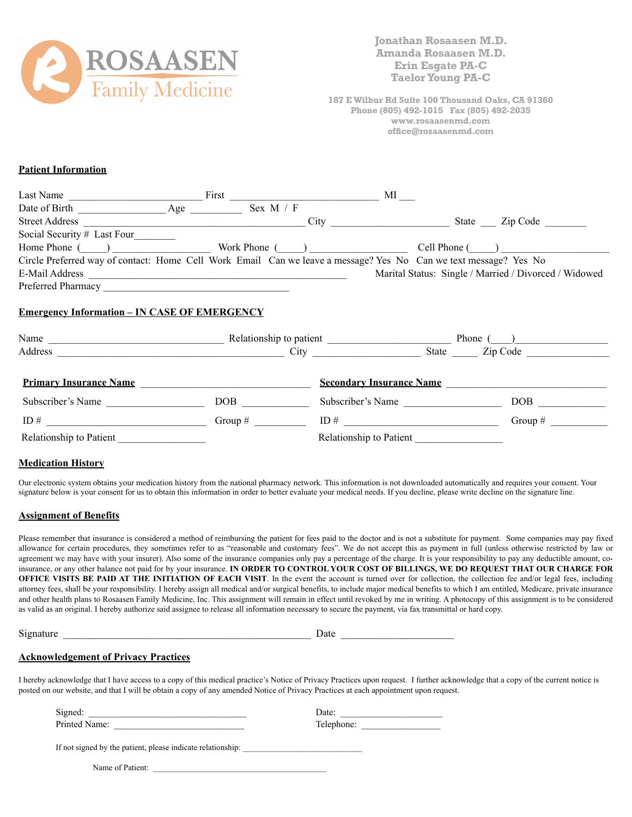

**Jonathan Rosaasen M.D. Amanda Rosaasen M.D. Erin Esgate PA-C Taelor Young PA-C** 

**187 E Wilbur Rd Suite 100 Thousand Oaks, CA 91360 Phone (805) 492-1015 Fax (805) 492-2035 www.rosaasenmd.com office@rosaasenmd.com** 

# **Patient Information**

| Last Name                   |     | First          | MI                                                                                                               |               |                                                       |
|-----------------------------|-----|----------------|------------------------------------------------------------------------------------------------------------------|---------------|-------------------------------------------------------|
| Date of Birth               | Age | Sex $M / F$    |                                                                                                                  |               |                                                       |
| <b>Street Address</b>       |     |                | City                                                                                                             | State         | Zip Code                                              |
| Social Security # Last Four |     |                |                                                                                                                  |               |                                                       |
| Home Phone ()               |     | Work Phone $($ |                                                                                                                  | Cell Phone () |                                                       |
|                             |     |                | Circle Preferred way of contact: Home Cell Work Email Can we leave a message? Yes No Can we text message? Yes No |               |                                                       |
| E-Mail Address              |     |                |                                                                                                                  |               | Marital Status: Single / Married / Divorced / Widowed |
| Preferred Pharmacy          |     |                |                                                                                                                  |               |                                                       |

# **Emergency Information – IN CASE OF EMERGENCY**

| Name                          | Relationship to patient |                                 | Phone (           |  |
|-------------------------------|-------------------------|---------------------------------|-------------------|--|
| Address                       | City                    |                                 | State<br>Zip Code |  |
| <b>Primary Insurance Name</b> |                         | <b>Secondary Insurance Name</b> |                   |  |
| Subscriber's Name             | DOB                     | Subscriber's Name               | DOB               |  |
| ID#                           | Group $#$               | ID $#$                          | Group $#$         |  |
| Relationship to Patient       |                         | Relationship to Patient         |                   |  |

#### **Medication History**

Our electronic system obtains your medication history from the national pharmacy network. This information is not downloaded automatically and requires your consent. Your signature below is your consent for us to obtain this information in order to better evaluate your medical needs. If you decline, please write decline on the signature line.

#### **Assignment of Benefits**

Please remember that insurance is considered a method of reimbursing the patient for fees paid to the doctor and is not a substitute for payment. Some companies may pay fixed allowance for certain procedures, they sometimes refer to as "reasonable and customary fees". We do not accept this as payment in full (unless otherwise restricted by law or agreement we may have with your insurer). Also some of the insurance companies only pay a percentage of the charge. It is your responsibility to pay any deductible amount, coinsurance, or any other balance not paid for by your insurance. **IN ORDER TO CONTROL YOUR COST OF BILLINGS, WE DO REQUEST THAT OUR CHARGE FOR OFFICE VISITS BE PAID AT THE INITIATION OF EACH VISIT**. In the event the account is turned over for collection, the collection fee and/or legal fees, including attorney fees, shall be your responsibility. I hereby assign all medical and/or surgical benefits, to include major medical benefits to which I am entitled, Medicare, private insurance and other health plans to Rosaasen Family Medicine, Inc. This assignment will remain in effect until revoked by me in writing. A photocopy of this assignment is to be considered as valid as an original. I hereby authorize said assignee to release all information necessary to secure the payment, via fax transmittal or hard copy.

| Signature |  |  |
|-----------|--|--|
|           |  |  |

 $S^{\text{S}}$  Date  $\frac{1}{\sqrt{S^2}}$  Date  $\frac{1}{\sqrt{S^2}}$ 

## **Acknowledgement of Privacy Practices**

I hereby acknowledge that I have access to a copy of this medical practice's Notice of Privacy Practices upon request. I further acknowledge that a copy of the current notice is posted on our website, and that I will be obtain a copy of any amended Notice of Privacy Practices at each appointment upon request.

| Signed:                                                     | Date:      |
|-------------------------------------------------------------|------------|
| Printed Name:                                               | Telephone: |
|                                                             |            |
| If not signed by the patient, please indicate relationship: |            |

Name of Patient: \_\_\_\_\_\_\_\_\_\_\_\_\_\_\_\_\_\_\_\_\_\_\_\_\_\_\_\_\_\_\_\_\_\_\_\_\_\_\_\_\_\_